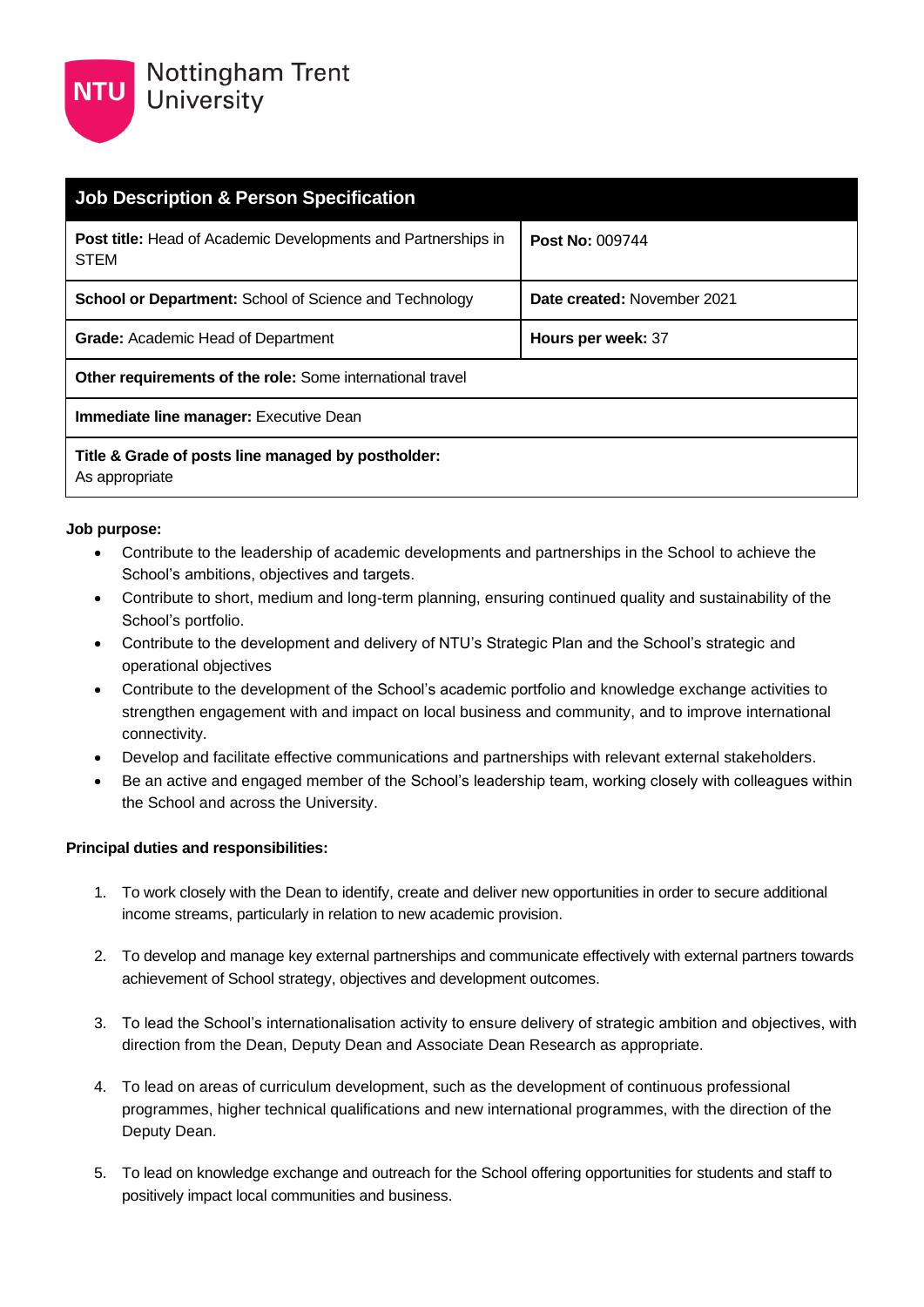

| <b>Job Description &amp; Person Specification</b>                            |                             |  |  |
|------------------------------------------------------------------------------|-----------------------------|--|--|
| <b>Post title:</b> Head of Academic Developments and Partnerships in<br>STEM | <b>Post No: 009744</b>      |  |  |
| <b>School or Department:</b> School of Science and Technology                | Date created: November 2021 |  |  |
| <b>Grade:</b> Academic Head of Department                                    | Hours per week: 37          |  |  |
| <b>Other requirements of the role:</b> Some international travel             |                             |  |  |
| <b>Immediate line manager:</b> Executive Dean                                |                             |  |  |
| Title & Grade of posts line managed by postholder:<br>As appropriate         |                             |  |  |

## **Job purpose:**

- Contribute to the leadership of academic developments and partnerships in the School to achieve the School's ambitions, objectives and targets.
- Contribute to short, medium and long-term planning, ensuring continued quality and sustainability of the School's portfolio.
- Contribute to the development and delivery of NTU's Strategic Plan and the School's strategic and operational objectives
- Contribute to the development of the School's academic portfolio and knowledge exchange activities to strengthen engagement with and impact on local business and community, and to improve international connectivity.
- Develop and facilitate effective communications and partnerships with relevant external stakeholders.
- Be an active and engaged member of the School's leadership team, working closely with colleagues within the School and across the University.

## **Principal duties and responsibilities:**

- 1. To work closely with the Dean to identify, create and deliver new opportunities in order to secure additional income streams, particularly in relation to new academic provision.
- 2. To develop and manage key external partnerships and communicate effectively with external partners towards achievement of School strategy, objectives and development outcomes.
- 3. To lead the School's internationalisation activity to ensure delivery of strategic ambition and objectives, with direction from the Dean, Deputy Dean and Associate Dean Research as appropriate.
- 4. To lead on areas of curriculum development, such as the development of continuous professional programmes, higher technical qualifications and new international programmes, with the direction of the Deputy Dean.
- 5. To lead on knowledge exchange and outreach for the School offering opportunities for students and staff to positively impact local communities and business.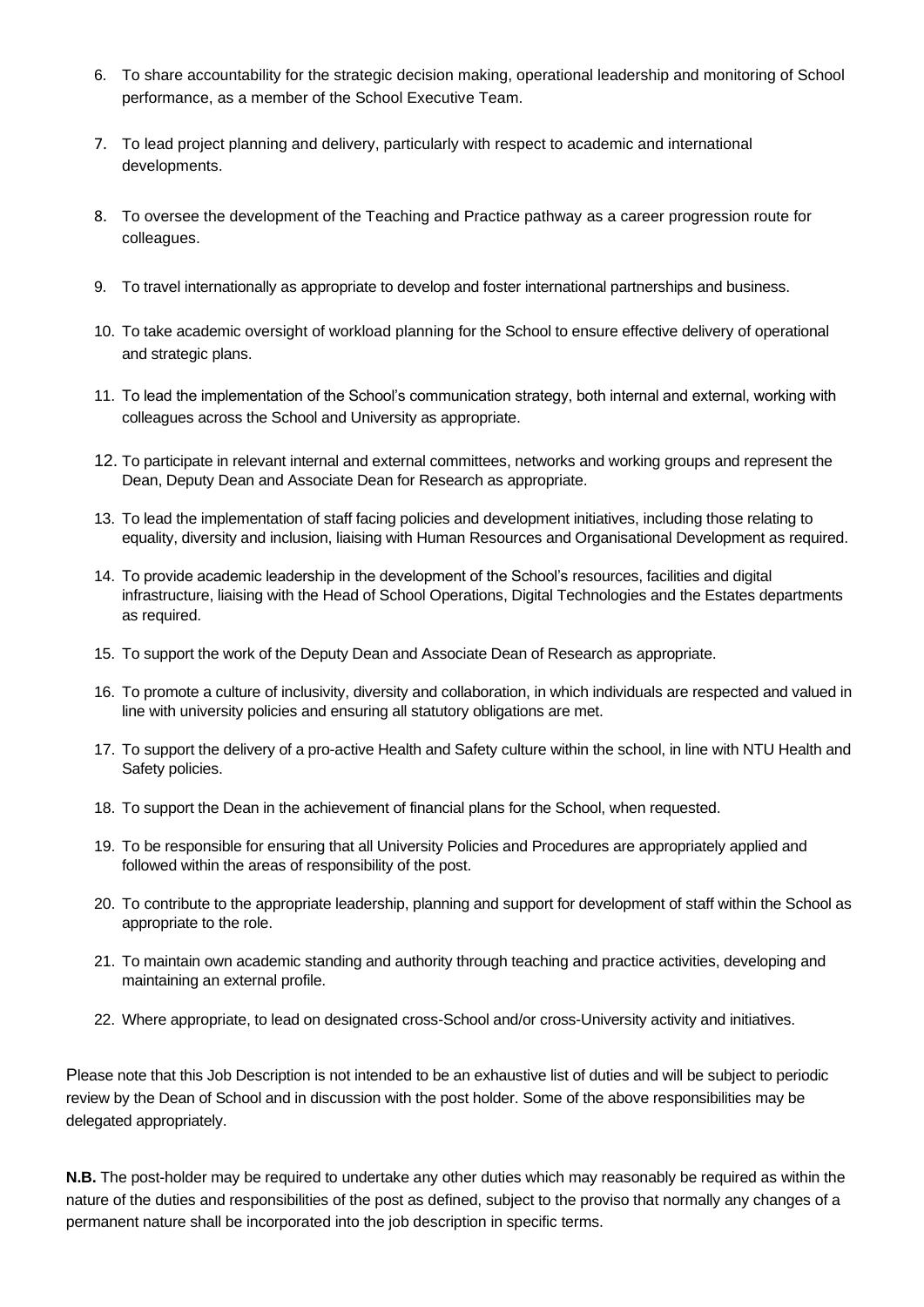- 6. To share accountability for the strategic decision making, operational leadership and monitoring of School performance, as a member of the School Executive Team.
- 7. To lead project planning and delivery, particularly with respect to academic and international developments.
- 8. To oversee the development of the Teaching and Practice pathway as a career progression route for colleagues.
- 9. To travel internationally as appropriate to develop and foster international partnerships and business.
- 10. To take academic oversight of workload planning for the School to ensure effective delivery of operational and strategic plans.
- 11. To lead the implementation of the School's communication strategy, both internal and external, working with colleagues across the School and University as appropriate.
- 12. To participate in relevant internal and external committees, networks and working groups and represent the Dean, Deputy Dean and Associate Dean for Research as appropriate.
- 13. To lead the implementation of staff facing policies and development initiatives, including those relating to equality, diversity and inclusion, liaising with Human Resources and Organisational Development as required.
- 14. To provide academic leadership in the development of the School's resources, facilities and digital infrastructure, liaising with the Head of School Operations, Digital Technologies and the Estates departments as required.
- 15. To support the work of the Deputy Dean and Associate Dean of Research as appropriate.
- 16. To promote a culture of inclusivity, diversity and collaboration, in which individuals are respected and valued in line with university policies and ensuring all statutory obligations are met.
- 17. To support the delivery of a pro-active Health and Safety culture within the school, in line with NTU Health and Safety policies.
- 18. To support the Dean in the achievement of financial plans for the School, when requested.
- 19. To be responsible for ensuring that all University Policies and Procedures are appropriately applied and followed within the areas of responsibility of the post.
- 20. To contribute to the appropriate leadership, planning and support for development of staff within the School as appropriate to the role.
- 21. To maintain own academic standing and authority through teaching and practice activities, developing and maintaining an external profile.
- 22. Where appropriate, to lead on designated cross-School and/or cross-University activity and initiatives.

Please note that this Job Description is not intended to be an exhaustive list of duties and will be subject to periodic review by the Dean of School and in discussion with the post holder. Some of the above responsibilities may be delegated appropriately.

**N.B.** The post-holder may be required to undertake any other duties which may reasonably be required as within the nature of the duties and responsibilities of the post as defined, subject to the proviso that normally any changes of a permanent nature shall be incorporated into the job description in specific terms.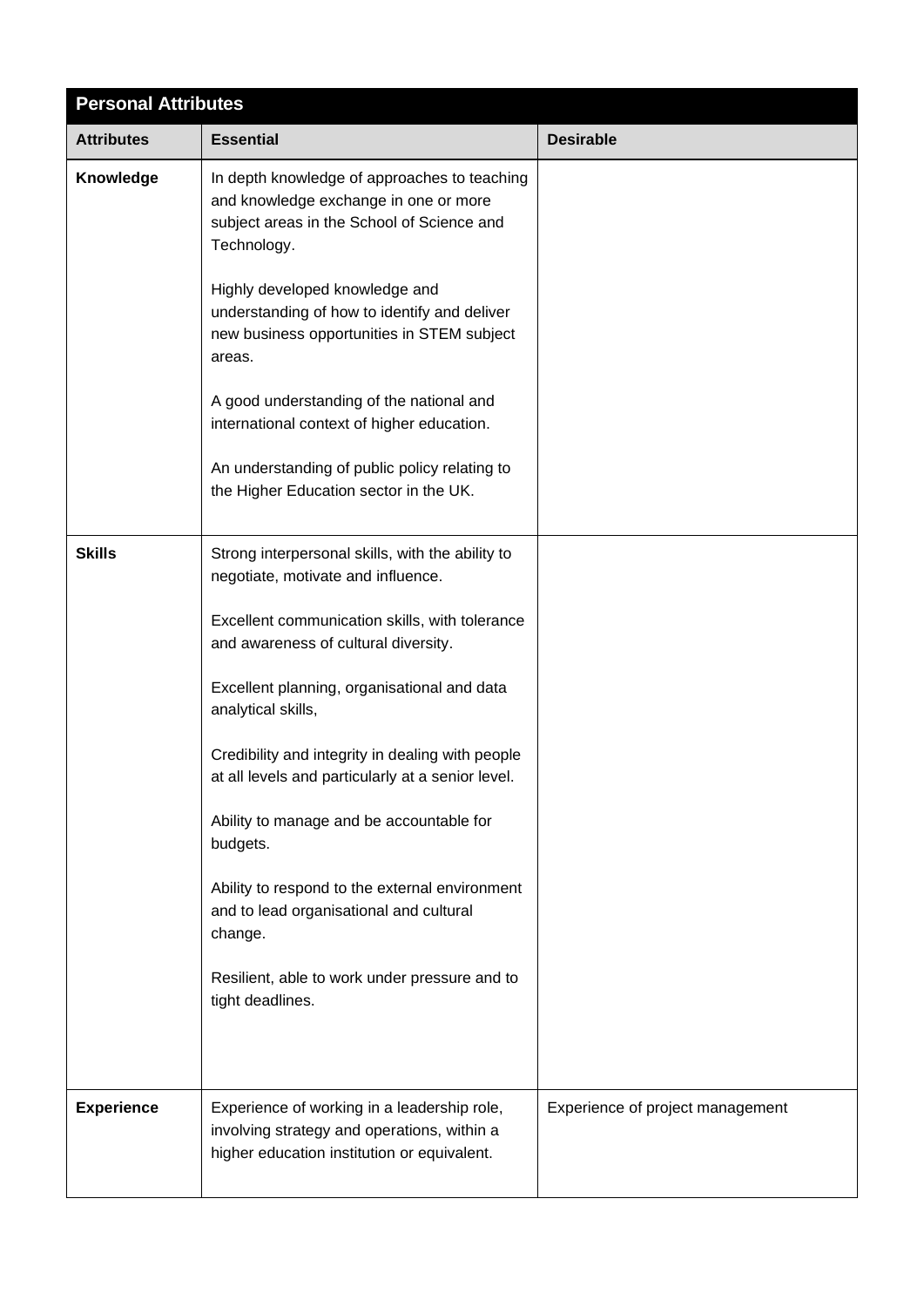| <b>Personal Attributes</b> |                                                                                                                                                                                                                                                                                                                                                                                                                                                                                                                                                                                                     |                                  |  |  |
|----------------------------|-----------------------------------------------------------------------------------------------------------------------------------------------------------------------------------------------------------------------------------------------------------------------------------------------------------------------------------------------------------------------------------------------------------------------------------------------------------------------------------------------------------------------------------------------------------------------------------------------------|----------------------------------|--|--|
| <b>Attributes</b>          | <b>Essential</b>                                                                                                                                                                                                                                                                                                                                                                                                                                                                                                                                                                                    | <b>Desirable</b>                 |  |  |
| Knowledge                  | In depth knowledge of approaches to teaching<br>and knowledge exchange in one or more<br>subject areas in the School of Science and<br>Technology.<br>Highly developed knowledge and<br>understanding of how to identify and deliver<br>new business opportunities in STEM subject<br>areas.<br>A good understanding of the national and<br>international context of higher education.<br>An understanding of public policy relating to<br>the Higher Education sector in the UK.                                                                                                                   |                                  |  |  |
| <b>Skills</b>              | Strong interpersonal skills, with the ability to<br>negotiate, motivate and influence.<br>Excellent communication skills, with tolerance<br>and awareness of cultural diversity.<br>Excellent planning, organisational and data<br>analytical skills,<br>Credibility and integrity in dealing with people<br>at all levels and particularly at a senior level.<br>Ability to manage and be accountable for<br>budgets.<br>Ability to respond to the external environment<br>and to lead organisational and cultural<br>change.<br>Resilient, able to work under pressure and to<br>tight deadlines. |                                  |  |  |
| <b>Experience</b>          | Experience of working in a leadership role,<br>involving strategy and operations, within a<br>higher education institution or equivalent.                                                                                                                                                                                                                                                                                                                                                                                                                                                           | Experience of project management |  |  |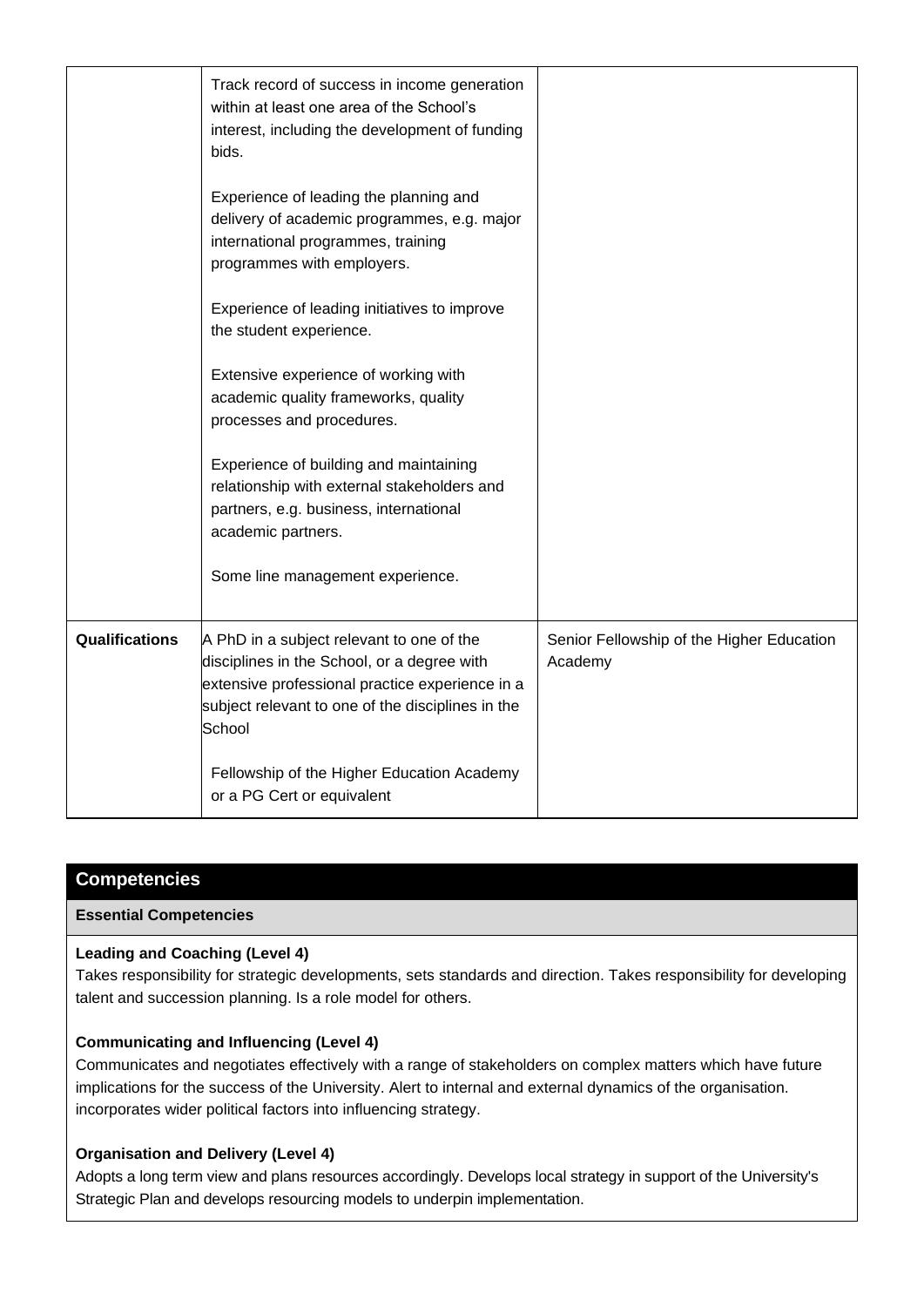|                       | Track record of success in income generation<br>within at least one area of the School's<br>interest, including the development of funding<br>bids.                                                        |                                                      |
|-----------------------|------------------------------------------------------------------------------------------------------------------------------------------------------------------------------------------------------------|------------------------------------------------------|
|                       | Experience of leading the planning and<br>delivery of academic programmes, e.g. major<br>international programmes, training<br>programmes with employers.                                                  |                                                      |
|                       | Experience of leading initiatives to improve<br>the student experience.                                                                                                                                    |                                                      |
|                       | Extensive experience of working with<br>academic quality frameworks, quality<br>processes and procedures.                                                                                                  |                                                      |
|                       | Experience of building and maintaining<br>relationship with external stakeholders and<br>partners, e.g. business, international<br>academic partners.                                                      |                                                      |
|                       | Some line management experience.                                                                                                                                                                           |                                                      |
| <b>Qualifications</b> | A PhD in a subject relevant to one of the<br>disciplines in the School, or a degree with<br>extensive professional practice experience in a<br>subject relevant to one of the disciplines in the<br>School | Senior Fellowship of the Higher Education<br>Academy |
|                       | Fellowship of the Higher Education Academy<br>or a PG Cert or equivalent                                                                                                                                   |                                                      |

# **Competencies**

## **Essential Competencies**

## **Leading and Coaching (Level 4)**

Takes responsibility for strategic developments, sets standards and direction. Takes responsibility for developing talent and succession planning. Is a role model for others.

#### **Communicating and Influencing (Level 4)**

Communicates and negotiates effectively with a range of stakeholders on complex matters which have future implications for the success of the University. Alert to internal and external dynamics of the organisation. incorporates wider political factors into influencing strategy.

#### **Organisation and Delivery (Level 4)**

Adopts a long term view and plans resources accordingly. Develops local strategy in support of the University's Strategic Plan and develops resourcing models to underpin implementation.